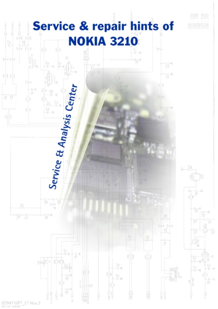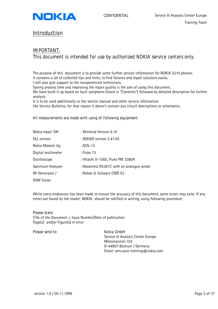<span id="page-1-0"></span>

# **Introduction**

# **IMPORTANT: This document is intended for use by authorized NOKIA service centers only.**

The purpose of this document is to provide some further service information for NOKIA 3210 phones. It contains a lot of collected tips and hints, to find failures and repair solutions easily. I will also give support to the inexperienced technicians.

Saving process time and improving the repair quality is the aim of using this document.

We have build it up based on fault symptoms (listed in "Contents") followed by detailed description for further analysis.

It is to be used additionally to the service manual and other service information

like Service Bulletins, for that reason it doesn't contain any circuit descriptions or schematics.

### **All measurements are made with using of following equipment:**

| Nokia repair SW    | : Wintesla Version 6.10                   |
|--------------------|-------------------------------------------|
| <b>DLL</b> version | : NSE8/9 version 2.41.05                  |
| Nokia Module Jig   | : MJS-13                                  |
| Digital multimeter | : Fluke 73                                |
| Oscilloscope       | : Hitachi V-1565; Fluke PM 3380A          |
| Spectrum Analyzer  | : Advantest R3361C with an analogue probe |
| RF-Generator /     | : Rohde & Schwarz CMD 53                  |
| <b>GSM</b> Tester  |                                           |

While every endeavour has been made to ensure the accuracy of this document, some errors may exist. If any errors are found by the reader, NOKIA should be notified in writing, using following procedure:

#### **Please state:**

Title of the Document + Issue Number/Date of publication Page(s) and/or Figure(s) in error

#### **Please send to:** Nokia GmbH

Service & Analysis Center Europe Meesmannstr.103 D-44807 Bochum / Germany Email: ams.sace-training@nokia.com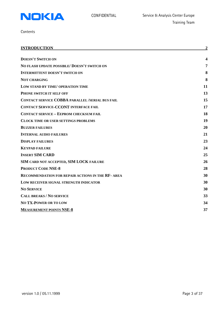

**Contents** 

| <b>INTRODUCTION</b>                                      | $\overline{2}$ |
|----------------------------------------------------------|----------------|
|                                                          |                |
| <b>DOESN'T SWITCH ON</b>                                 |                |
| NO FLASH UPDATE POSSIBLE/ DOESN'T SWITCH ON              | 7              |
| <b>INTERMITTENT DOESN'T SWITCH ON</b>                    | 8              |
| <b>NOT CHARGING</b>                                      | 8              |
| LOW STAND BY TIME/ OPERATION TIME                        | 11             |
| PHONE SWITCH IT SELF OFF                                 | 13             |
| <b>CONTACT SERVICE COBBA PARALLEL /SERIAL BUS FAIL</b>   | 15             |
| <b>CONTACT SERVICE-CCONT INTERFACE FAIL</b>              | 17             |
| <b>CONTACT SERVICE - EEPROM CHECKSUM FAIL</b>            | 18             |
| <b>CLOCK TIME OR USER SETTINGS PROBLEMS</b>              | 19             |
| <b>BUZZER FAILURES</b>                                   | 20             |
| <b>INTERNAL AUDIO FAILURES</b>                           | 21             |
| <b>DISPLAY FAILURES</b>                                  | 23             |
| <b>KEYPAD FAILURE</b>                                    | 24             |
| <b>INSERT SIM CARD</b>                                   | 25             |
| SIM CARD NOT ACCEPTED, SIM LOCK FAILURE                  | 26             |
| <b>PRODUCT CODE NSE-8</b>                                | 28             |
| <b>RECOMMENDATION FOR REPAIR ACTIONS IN THE RF- AREA</b> | 30             |
| LOW RECEIVER SIGNAL STRENGTH INDICATOR                   | 30             |
| <b>NO SERVICE</b>                                        | 30             |
| <b>CALL BREAKS / NO SERVICE</b>                          | 33             |
| <b>NO TX-POWER OR TO LOW</b>                             | 34             |
| <b>MEASUREMENT POINTS NSE-8</b>                          | 37             |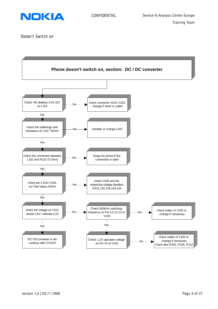<span id="page-3-0"></span>

**Doesn't Switch on**

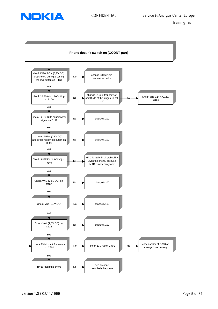

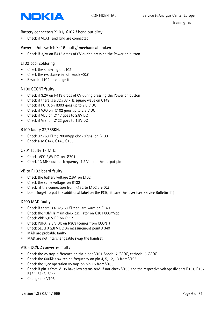

Battery connectors X101/ X102 / bend out dirty

• Check if VBATT and Gnd are connected

Power on/off switch S416 faulty/ mechanical broken

• Check if 3,2V on R413 drops of 0V during pressing the Power on button

# L102 poor soldering

- Check the soldering of L102
- Check the resistance in "off mode= $0\Omega$ "
- Resolder L102 or change it

# N100 CCONT faulty

- Check if 3,2V on R413 drops of 0V during pressing the Power on button
- Check if there is a 32.768 kHz square wave on C149
- Check if PURX on R303 goes up to 2.8 V DC
- Check if VXO on C102 goes up to 2.8 V DC
- Check if VBB on C117 goes to 2,8V DC
- Check if Vref on C123 goes to 1,5V DC

### B100 faulty 32,768KHz

- Check 32.768 KHz; 700mVpp clock signal on B100
- Check also C147, C148, C153

### G701 faulty 13 MHz

- Check VCC 2,8V DC on G701
- Check 13 MHz output frequency; 1,2 Vpp on the output pin

### VB to R132 board faulty

- Check the battery voltage 2,6V on L102
- Check the same voltage on R132
- Check if the connection from R132 to L102 are  $0\Omega$
- Don't forget to put the additional label on the PCB, it save the layer (see Service Bulletin 11)

### D200 MAD faulty

- Check if there is a 32,768 KHz square wave on C149
- Check the 13MHz main clock oscillator on C301 800mVpp
- Check VBB 2,8 V DC on C117
- Check PURX 2,8 V DC on R303 (comes from CCONT)
- Check SLEEPX 2,8 V DC 0n measurement point J 340
- MAD are probable faulty
- MAD are not interchangeable swap the handset

### V105 DC/DC converter faulty

- Check the voltage difference on the diode V101 Anode: 2,6V DC, cathode: 3,2V DC
- Check the 600KHz switching frequency on pin 4, 5, 12, 13 from V105
- Check the 1,2V operation voltage on pin 15 from V105
- Check if pin 3 from V105 have low status ≈0V, if not check V109 and the respective voltage dividers R131, R132, R134, R143, R144
- Change the V105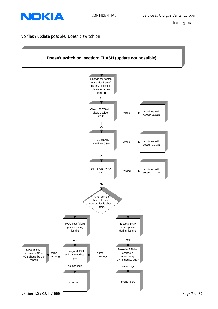<span id="page-6-0"></span>

**No flash update possible/ Doesn't switch on**

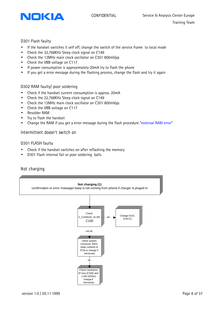

<span id="page-7-0"></span>

# D301 Flash faulty

- If the handset switches it self off, change the switch of the service frame to local mode
- Check the 32,768KHz Sleep clock signal on C149
- Check the 13MHz main clock oscillator on C301 800mVpp
- Check the VBB voltage on C117
- If power consumption is approximately 20mA try to flash the phone
- If you get a error message during the flashing process, change the flash and try it again

# D302 RAM faulty/ poor soldering

- Check if the handset current consumption is approx. 20mA
- Check the 32,768KHz Sleep clock signal on C149
- Check the 13MHz main clock oscillator on C301 800mVpp
- Check the VBB voltage on C117
- Resolder RAM
- Try to flash the handset
- Change the RAM if you get a error message during the flash procedure "external RAM error"

# **Intermittent doesn't switch on**

# D301 FLASH faulty

- Check if the handset switches on after reflashing the memory
- D301 Flash internal fail or poor soldering balls

# **Not charging**

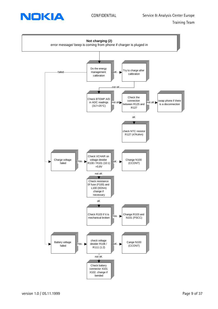



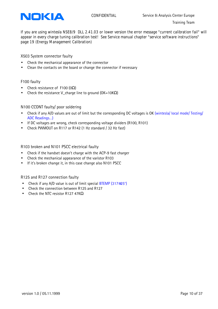

**If you are using wintesla NSE8/9 DLL 2.41.03 or lower version the error message "current calibration fail" will appear in every charge tuning calibration test! See Service manual chapter "service software instructions" page 19 (Energy Management Calibration)**

X503 System connector faulty

- Check the mechanical appearance of the connector
- Clean the contacts on the board or change the connector if necessary

# F100 faulty

- Check resistance of F100  $(0\Omega)$
- Check the resistance V\_charge line to ground ( $OK=10K\Omega$ )

# N100 CCONT faulty/ poor soldering

- Check if any A/D values are out of limit but the corresponding DC voltages is OK (wintesla/ local mode/ Testing/ ADC Readings…)
- If DC voltages are wrong, check corresponding voltage dividers (R100, R101)
- Check PWMOUT on R117 or R142 (1 Hz standard / 32 Hz fast)

R103 broken and N101 PSCC electrical faulty

- Check if the handset doesn't charge with the ACP-9 fast charger
- Check the mechanical appearance of the varistor R103
- If it's broken change it, in this case change also N101 PSCC

R125 and R127 connection faulty

- Check if any A/D value is out of limit special BTEMP (317≅25°)
- Check the connection between R125 and R127
- Check the NTC resistor R127 47K $\Omega$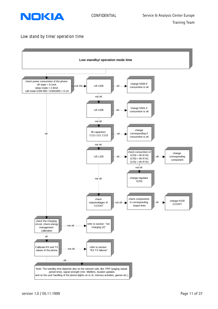<span id="page-10-0"></span>

# **Low stand by time/ operation time**

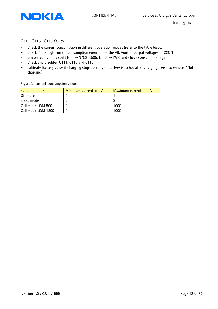

# C111, C115, C113 faulty

- Check the current consumption in different operation modes (refer to the table below)
- Check if the high current consumption comes from the VB, Vout or output voltages of CCONT
- Disconnect coil by coil L105 (→N702) L505, L506 (→PA's) and check consumption again
- Check and disolder C111, C115 and C113
- calibrate Battery value if charging stops to early or battery is to hot after charging (see also chapter "Not charging)

#### **Figure 1: current consumption values**

| <b>Function mode</b> | Minimum current in mA | Maximum current in mA |
|----------------------|-----------------------|-----------------------|
| Off state            |                       |                       |
| Sleep mode           |                       |                       |
| Call mode GSM 900    |                       | 1000                  |
| Call mode GSM 1800   |                       | 1000                  |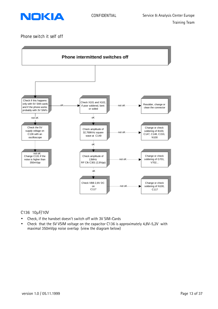<span id="page-12-0"></span>

**Phone switch it self off**



# C136 10μF/10V

- Check, if the handset doesn't switch off with 3V SIM-Cards
- Check that the 5V VSIM voltage on the capacitor C136 is approximately 4,8V-5,2V with maximal 350mVpp noise overlap (view the diagram below)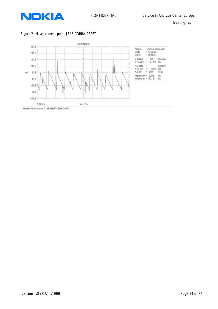

### **Figure 2: Measurement point J343 COBBA RESET**

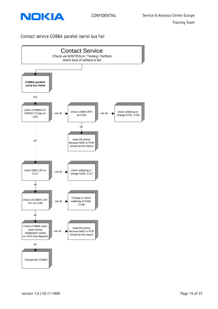<span id="page-14-0"></span>

# **Contact service COBBA parallel /serial bus fail**

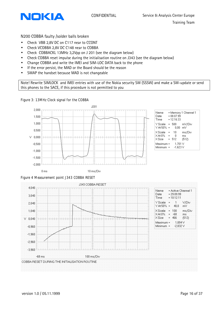

### N200 COBBA faulty /solder balls broken

- Check VBB 2,8V DC on C117 near to CCONT
- Check VCOBBA 2,8V DC C148 near to COBBA
- Check COBBACKL 13MHz 3,2Vpp on J 201 (see the diagram below)
- Check COBBA reset impulse during the initialisation routine on J343 (see the diagram below)
- Change COBBA and write the IMEI and SIM-LOC DATA back to the phone
- If the error persist, the MAD or the Board should be the reason
- SWAP the handset because MAD is not changeable

Note! Rewrite SIMLOCK and IMEI entries with use of the Nokia security SW (SSSW) and make a SW-update or send this phones to the SACE, if this procedure is not permitted to you

### **Figure 3: 13MHz Clock signal for the COBBA**





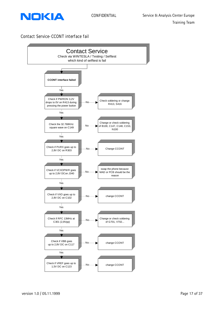<span id="page-16-0"></span>

# **Contact Service-CCONT interface fail**

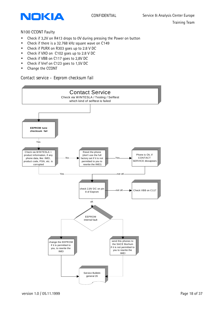<span id="page-17-0"></span>

# N100 CCONT Faulty

- Check if 3,2V on R413 drops to 0V during pressing the Power on button
- Check if there is a 32.768 kHz square wave on C149
- Check if PURX on R303 goes up to 2.8 V DC
- Check if VXO on C102 goes up to 2.8 V DC
- Check if VBB on C117 goes to 2,8V DC
- Check if Vref on C123 goes to 1,5V DC
- Change the CCONT

# **Contact service – Eeprom checksum fail**

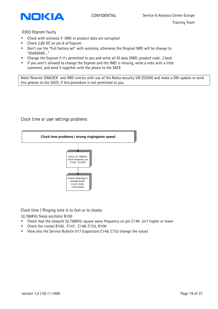<span id="page-18-0"></span>

D303 Eeprom faulty

- Check with wintesla if IMEI or product data are corrupted
- Check 2,8V DC on pin 8 of Eeprom
- Don't use the "Full factory set" with wintesla, otherwise the Original IMEI will be change to "65656565…"
- Change the Eeprom if it's permitted to you and write all ID data (IMEI, product code…) back
- If you aren't allowed to change the Eeprom and the IMEI is missing, write a note with a little comment, and send it together with the phone to the SACE

Note! Rewrite SIMLOCK and IMEI entries with use of the Nokia security SW (SSSW) and make a SW-update or send this phones to the SACE, if this procedure is not permitted to you

# **Clock time or user settings problems**



Clock time / Ringing tone is to fast or to slowly

32,786KHz Sleep oscillator B100

- Check that the sleepclk 32.768KHz square wave frequency on pin C149 isn't higher or lower
- Check the crystal B100, C147, C148, C153, N100
- View also the Service Bulletin 017 (capacitors C148, C153 change the value)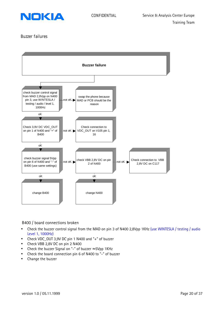<span id="page-19-0"></span>

# **Buzzer failures**



### B400 / board connections broken

- Check the buzzer control signal from the MAD on pin 3 of N400 2,8Vpp 1KHz (use WINTESLA / testing / audio Level 1, 1000Hz)
- Check VDC\_OUT 3,9V DC pin 1 N400 and "+" of buzzer
- Check VBB 2,8V DC on pin 2 N400
- Check the buzzer Signal on "-" of buzzer ≈ 5Vpp 1KHz
- Check the board connection pin 6 of N400 to "-" of buzzer
- Change the buzzer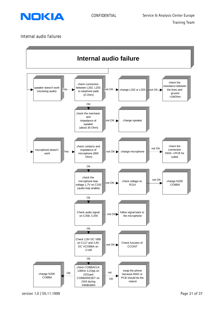<span id="page-20-0"></span>

# **Internal audio failures**

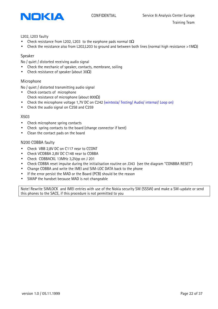

#### L202, L203 faulty

- Check resistance from L202, L203 to the earphone pads normal 0 $\Omega$
- Check the resistance also from L202,L203 to ground and between both lines (normal high resistance >1MΩ)

### Speaker

No / quiet / distorted receiving audio signal

- Check the mechanic of speaker, contacts, membrane, soiling
- Check resistance of speaker (about 30 $\Omega$ )

### Microphone

No / quiet / distorted transmitting audio signal

- Check contacts of microphone Check resistance of microphone (about 800Ω)
- Check the microphone voltage 1,7V DC on C242 (wintesla/ Testing/ Audio/ internal/ Loop on)
- Check the audio signal on C258 and C259

### X503

- Check microphone spring contacts
- Check spring contacts to the board (change connector if bent)
- Clean the contact pads on the board

### N200 COBBA faulty

- Check VBB 2,8V DC on C117 near to CCONT
- Check VCOBBA 2,8V DC C148 near to COBBA
- Check COBBACKL 13MHz 3,2Vpp on J 201
- Check COBBA reset impulse during the initialisation routine on J343 (see the diagram "CONBBA RESET")
- Change COBBA and write the IMEI and SIM-LOC DATA back to the phone
- If the error persist the MAD or the Board (PCB) should be the reason
- SWAP the handset because MAD is not changeable

Note! Rewrite SIMLOCK and IMEI entries with use of the Nokia security SW (SSSW) and make a SW-update or send this phones to the SACE, if this procedure is not permitted to you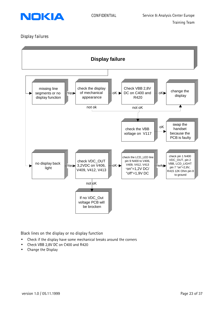<span id="page-22-0"></span>

# **Display failures**



Black lines on the display or no display function

- Check if the display have some mechanical breaks around the corners
- Check VBB 2,8V DC on C400 and R420
- Change the Display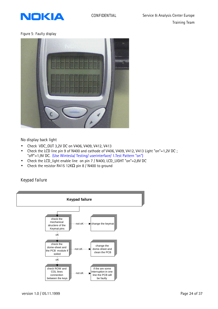<span id="page-23-0"></span>

### **Figure 5: Faulty display**



No display back light

- Check VDC\_OUT 3,2V DC on V406, V409, V412, V413
- Check the LCD line pin 9 of N400 and cathode of V406, V409, V412, V413 Light "on"=1,2V DC ; "off"=1,9V DC. (Use Wintesla/ Testing/ userinterface/ 1.Test Pattern "on")
- Check the LCD\_light enable line on pin 7 / N400, LCD\_LIGHT "on"=2,8V DC
- Check the resistor R415 12K $\Omega$  pin 8 / N400 to ground

**Keypad failure**

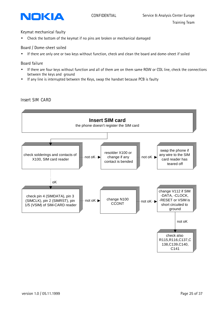<span id="page-24-0"></span>

### Keymat mechanical faulty

• Check the bottom of the keymat if no pins are broken or mechanical damaged

### Board / Dome-sheet soiled

• If there are only one or two keys without function, check and clean the board and dome-sheet if soiled

# Board failure

- If there are four keys without function and all of them are on them same ROW or COL line, check the connections between the keys and ground
- If any line is interrupted between the Keys, swap the handset because PCB is faulty



# **Insert SIM CARD**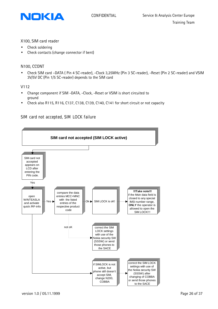<span id="page-25-0"></span>

# X100, SIM card reader

- Check soldering
- Check contacts (change connector if bent)

# N100, CCONT

• Check SIM card –DATA ( Pin 4 SC-reader), -Clock 3,25MHz (Pin 3 SC-reader), -Reset (Pin 2 SC-reader) and VSIM 3V/5V DC (Pin 1/5 SC-reader) depends to the SIM card

# V112

- Change component if SIM -DATA, -Clock, -Reset or VSIM is short circuited to ground
- Check also R115, R116, C137, C138, C139, C140, C141 for short circuit or not capacity

# **SIM card not accepted, SIM LOCK failure**

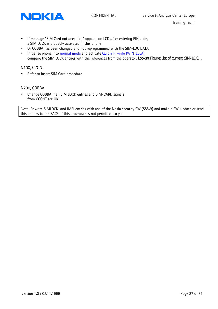



- If message "SIM Card not accepted" appears on LCD after entering PIN code, a SIM LOCK is probably activated in this phone
- Or COBBA has been changed and not reprogrammed with the SIM-LOC DATA
- Initialise phone into normal mode and activate Quick/ RF-info (WINTESLA) compare the SIM LOCK entries with the references from the operator. *Look at Figure: List of current SIM-LOC…*

# N100, CCONT

• Refer to insert SIM Card procedure

### N200, COBBA

• Change COBBA if all SIM LOCK entries and SIM-CARD signals from CCONT are OK

Note! Rewrite SIMLOCK and IMEI entries with use of the Nokia security SW (SSSW) and make a SW-update or send this phones to the SACE, if this procedure is not permitted to you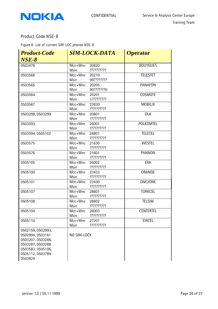<span id="page-27-0"></span>

# **Product Code NSE-8**

**Figure 6: List of current SIM LOC phones NSE-8**

| <b>Product-Code</b>                                                                                                                | <b>SIM-LOCK-DATA</b> |                     | <b>Operator</b>  |
|------------------------------------------------------------------------------------------------------------------------------------|----------------------|---------------------|------------------|
| $NSE-8$                                                                                                                            |                      |                     |                  |
| 0503478                                                                                                                            | Mcc+Mnc<br>Msin      | 20820<br>?????????? | <b>BOUYGUES</b>  |
| 0503566                                                                                                                            | Mcc+Mnc<br>Msin      | 20210<br>99???????? | <b>TELESTET</b>  |
| 0503565                                                                                                                            | Mcc+Mnc<br>Msin      | 20205<br>90???????0 | <b>PANAFON</b>   |
| 0503564                                                                                                                            | Mcc+Mnc<br>Msin      | 20201<br>1????????? | <b>COSMOTE</b>   |
| 0503567                                                                                                                            | Mcc+Mnc<br>Msin      | 23830<br>?????????? | <b>MOBILIX</b>   |
| 0503298, 0503299                                                                                                                   | Mcc+Mnc<br>Msin      | 20801<br>?????????? | <b>OLA</b>       |
| 0503593                                                                                                                            | Mcc+Mnc<br>Msin      | 26001<br>?????????? | POLKOMTEL        |
| 0503594, 0505102                                                                                                                   | Mcc+Mnc<br>Msin      | 26801<br>?????????? | <b>TELECEL</b>   |
| 0503575                                                                                                                            | Mcc+Mnc<br>Msin      | 21630<br>?????????? | <b>WESTEL</b>    |
| 0503576                                                                                                                            | Mcc+Mnc<br>Msin      | 21601<br>?????????? | <b>PANNON</b>    |
| 0505105                                                                                                                            | Mcc+Mnc<br>Msin      | 26002<br>?????????? | ERA              |
| 0505100                                                                                                                            | Mcc+Mnc<br>Msin      | 23433<br>?????????? | ORANGE           |
| 0505101                                                                                                                            | Mcc+Mnc<br>Msin      | 23430<br>?????????? | ONE2ONE          |
| 0505107                                                                                                                            | Mcc+Mnc<br>Msin      | 28601<br>?????????? | <b>TURKCEL</b>   |
| 0505108                                                                                                                            | Mcc+Mnc<br>Msin      | 28602<br>?????????? | <b>TELSIM</b>    |
| 0505104                                                                                                                            | Mcc+Mnc<br>Msin      | 26003<br>?????????? | <b>CENTERTEL</b> |
| 0505110                                                                                                                            | Mcc+Mnc<br>Msin      | 27201<br>?????????? | <b>EIRCEL</b>    |
| 0502159, 0502993,<br>0502994, 0503161<br>0503207, 0503286,<br>0503287, 0503288<br>0503583, 0505106,<br>0505112, 0503789<br>0503824 | NO SIM-LOCK          |                     |                  |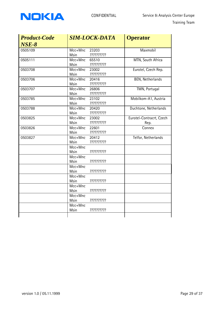

| <b>SIM-LOCK-DATA</b>                          | <b>Operator</b>                  |  |  |
|-----------------------------------------------|----------------------------------|--|--|
| Msin<br>??????????                            | Maxmobil                         |  |  |
| Mcc+Mnc<br>65510<br>??????????<br>Msin        | MTN, South Africa                |  |  |
| Mcc+Mnc<br>23002<br>??????????<br>Msin        | Eurotel, Czech Rep.              |  |  |
| Mcc+Mnc<br>20416<br>??????????<br>Msin        | <b>BEN, Netherlands</b>          |  |  |
| Mcc+Mnc<br>26806<br>??????????<br>Msin        | TMN, Portugal                    |  |  |
| 23102<br>Mcc+Mnc<br>??????????<br>Msin        | Mobilkom-A1, Austria             |  |  |
| Mcc+Mnc<br>20420<br>??????????<br><b>Msin</b> | Duchtone, Netherlands            |  |  |
| Mcc+Mnc<br>23002<br>??????????<br>Msin        | Eurotel-Contracrt, Czech<br>Rep. |  |  |
| Mcc+Mnc<br>22601<br>??????????<br>Msin        | Connex                           |  |  |
| Mcc+Mnc<br>20412<br>??????????<br>Msin        | Telfor, Netherlands              |  |  |
| Mcc+Mnc<br>??????????<br><b>Msin</b>          |                                  |  |  |
| Mcc+Mnc<br>??????????<br>Msin                 |                                  |  |  |
| Mcc+Mnc<br>Msin<br>??????????                 |                                  |  |  |
| Mcc+Mnc<br>Msin<br>??????????                 |                                  |  |  |
| Mcc+Mnc<br>??????????<br>Msin                 |                                  |  |  |
| Mcc+Mnc<br>Msin<br>??????????                 |                                  |  |  |
| Mcc+Mnc<br>??????????<br>Msin                 |                                  |  |  |
|                                               | Mcc+Mnc<br>23203                 |  |  |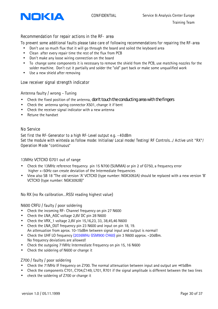<span id="page-29-0"></span>

# **Recommendation for repair actions in the RF- area**

### **To prevent some additional faults please take care of following recommendations for repairing the RF-area**

- Don't use so much flux that it will go through the board and soiled the keyboard area
- Clean after every repair time the rest of the flux from PCB
- Don't make any loose wiring connection on the board
- To change some components it is necessary to remove the shield from the PCB, use matching nozzles for the solder machine. Don't cut it partially and solder the "old" part back or make some unqualified work
- Use a new shield after removing

### **Low receiver signal strength indicator**

### Antenna faulty / wrong - Tuning

- Check the fixed position of the antenna, *don't touch the conducting area with the fingers*
- Check the antenna spring connector X501, change it if bent
- Check the receiver signal indicator with a new antenna
- Retune the handset

### **No Service**

**Set first the RF-Generator to a high RF-Level output e.g. –40dBm Set the module with wintesla as follow mode: Initialise/ Local mode/ Testing/ RF Controls…/ Active unit "RX"/ Operation Mode "continuous**"

### 13MHz VCTCXO G701 out of range

- Check the 13MHz reference frequency pin 15 N700 (SUMMA) or pin 2 of G750, a frequency error higher +-50Hz can create deviation of the Intermediate frequencies
- View also SB 18 "The old version 'A' VCTCXO (type number: NGK3092A) should be replaced with a new version 'B' VCTCXO (type number: NGK3092B)"

No RX (no Rx calibration…RSSI reading highest value)

#### N600 CRFU / faulty / poor soldering

- Check the incoming RF- Channel frequency on pin 27 N600
- Check the LNA AGC voltage 2,8V DC pin 28 N600
- Check the VRX\_1 voltage 2,8V pin 15,16,23, 33, 38,45,46 N600
- Check the LNA\_OUT frequency pin 23 N600 and input on pin 18, 19. An attenuation from aprox. 10-15dBm between signal input and output is normal!
- Check the UHF LO frequency (2036MHz GSM900 CH60) pin 3 N600 approx. -20dBm. No frequency deviations are allowed!
- Check the outgoing 71MHz Intermediate Frequency on pin 15, 16 N600
- Check the soldering of N600 or change it

### Z700 / faulty / poor soldering

- Check the 71MHz IF frequency on Z700. The normal attenuation between input and output are ≈15dBm
- Check the components C701, C704,C149, L701, R701 if the signal amplitude is different between the two lines
- check the soldering of Z700 or change it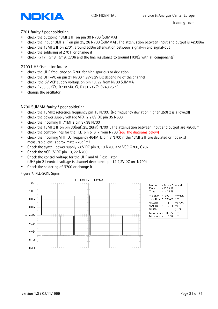

# Z701 faulty / poor soldering

- check the outgoing 13MHz IF on pin 30 N700 (SUMMA)
- check the input 13MHz IF on pin 25, 26 N700 (SUMMA) . The attenuation between input and output is ≈20dBm
- check the 13MHz IF on Z701, around 5dBm attenuation between signal-in and signal-out
- check the soldering of Z701 or change it
- check R717, R718, R719, C706 and the line resistance to ground (10KΩ with all components)

# G700 UHF Oscillator faulty

- check the UHF frequency on G700 for high spurious or deviation
- check the UHF-VC on pin 21 N700 1,9V-3.2V DC depending of the channel
- check the 5V VCP supply voltage on pin 13, 22 from N700 SUMMA
- check R733 33KΩ, R730 5K6 Ω, R731 2K2Ω, C740 2,2nF
- change the oscillator

# N700 SUMMA faulty / poor soldering

- check the 13MHz reference frequency pin 15 N700. (No frequency deviation higher  $\pm$ 50Hz is allowed!)
- check the power supply voltage VRX\_2 2,8V DC pin 35 N600
- check the incoming IF 71MHz pin 37,38 N700
- check the 13MHz IF on pin 30(out),25, 26(in) N700 . The attenuation between input and output are ≈20dBm
- check the control-lines for the PLL pin 5, 6, 7 from N700 (see the diagrams below)
- check the incoming VHF\_LO frequency 464MHz pin 8 N700 if the 13MHz IF are deviated or not exist measurable level approximate –20dBm!
- Check the synth. power supply 2,8V DC pin 9, 19 N700 and VCC G700, G702
- Check the VCP 5V DC pin 13, 22 N700
- Check the control voltage for the UHF and VHF oscillator (UHF pin 21 control voltage is channel dependent, pin12 2,2V DC on N700)
- Check the soldering of N700 or change it

### **Figure 7: PLL-SCKL Signal**



| Name                                | = Active Channel 1          |             |                       |
|-------------------------------------|-----------------------------|-------------|-----------------------|
| Date                                | $= 03.08.99$                |             |                       |
| Time                                | $= 14:13:46$                |             |                       |
| Y Scale                             |                             | - 200       | mV/Div                |
| Y At 50%                            |                             | $= 494.00$  | m٧                    |
| X Scale<br>$\times$ At 0%<br>X Size | $=$<br>$=$<br>$\sim$ $\sim$ | 7.04<br>512 | ms/Div<br>ms<br>(512) |
| Maximum = 982.25<br>Minimum =       |                             | -6.88       | mV<br>m٧              |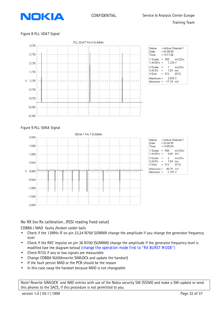

### **Figure 8:PLL-SDAT Signal**



| Name<br>Date<br>Time                  | = Active Channel 1<br>$= 03.08.99$<br>$= 14:17:06$ |        |
|---------------------------------------|----------------------------------------------------|--------|
| Y Scale<br>Y At 50% =                 | $= 500$<br>1.235 V                                 | m∨/Div |
| XScale<br>$\times$ At 0% =<br>XSize = | $\mathbf{1}$<br>$=$<br>7.04 ms<br>512 (512)        | ms/Div |
| Maximum =                             | 2.835 V<br>Minimum = -17.19 mV                     |        |

# **Figure 9:PLL-SENA Signal**



| Name<br>Date<br>Time               | = Active Channel 1<br>$= 03.08.99$<br>$= 14:05:04$ |                       |
|------------------------------------|----------------------------------------------------|-----------------------|
| Y Scale<br>Y At 50%                | 500<br>$=$<br>$_{0.00}$<br>$=$ $\,$                | mV/Div<br>m٧          |
| XScale<br>$\times$ At 0%<br>X Size | 2<br>$=$<br>7.04<br>$=$<br>512<br>$=$              | ms/Div<br>ms<br>(512) |
| Maximum =<br>Minimum               | 80.78 m∨<br>$-1,191$ V<br>$=$                      |                       |

# No RX (no Rx calibration…RSSI reading fixed value)

COBBA / MAD faulty /broken solder balls

- Check if the 13MHz IF on pin 23,24 N700 SUMMA change the amplitude if you change the generator frequency level
- Check if the RXC impulse on pin 36 N700 (SUMMA) change the amplitude if the generator frequency level is modified (see the diagram below) **(change the operation mode first to "RX BURST MODE")**
- Check R725 if any or low signals are measurable
- Change COBBA N200(rewrite SIMLOCk and update the handset)
- If the fault persist MAD or the PCB should be the reason
- In this case swap the handset because MAD is not changeable

Note! Rewrite SIMLOCK and IMEI entries with use of the Nokia security SW (SSSW) and make a SW-update or send this phones to the SACE, if this procedure is not permitted to you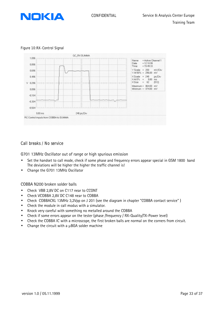<span id="page-32-0"></span>

#### **Figure 10:RX-Control Signal**



# **Call breaks / No service**

G701 13MHz Oscillator out of range or high spurious emission

- Set the handset to call mode, check if some phase and frequency errors appear special in GSM 1800 band The deviations will be higher the higher the traffic channel is!
- Change the G701 13MHz Oscillator

COBBA N200 broken solder balls

- Check VBB 2,8V DC on C117 near to CCONT
- Check VCOBBA 2,8V DC C148 near to COBBA
- Check COBBACKL 13MHz 3,2Vpp on J 201 (see the diagram in chapter "COBBA contact service" )
- Check the module in call modus with a simulator.
- Knock very careful with something no metalled around the COBBA
- Check if some errors appear on the tester (phase /frequency / RX-Quality/TX-Power level)
- Check the COBBA IC with a microscope, the first broken balls are normal on the corners from circuit.
- Change the circuit with a μBGA solder machine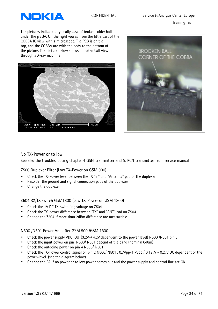<span id="page-33-0"></span>

The pictures indicate a typically case of broken solder ball under the μBGA. On the right you can see the little part of the COBBA IC view with a microscope. The PCB is on the top, and the COBBA are with the body to the bottom of the picture. The picture below shows a broken ball view through a X-ray machine





# **No TX-Power or to low**

**See also the troubleshooting chapter 4.GSM transmitter and 5. PCN transmitter from service manual**

Z500 Duplexer Filter (Low TX-Power on GSM 900)

- Check the TX-Power level between the TX "in" and "Antenna" pad of the duplexer
- Resolder the ground and signal connection pads of the duplexer
- Change the duplexer

Z504 RX/TX switch GSM1800 (Low TX-Power on GSM 1800)

- Check the 1V DC TX-switching voltage on Z504
- Check the TX-power difference between "TX" and "ANT" pad on Z504
- Change the Z504 if more than 2dBm difference are measurable

### N500 /N501 Power Amplifier GSM 900 /GSM 1800

- Check the power supply VDC\_OUT(3,2V→4,2V dependent to the power level) N500 /N501 pin 3
- Check the input power on pin N500/N501 depend of the band (nominal 0dbm)
- Check the outgoing power on pin 4 N500/ N501
- Check the TX-Power control signal on pin 2 N500/ N501, 0,7Vpp-1,7Vpp / 0,12.V 0,2.V DC dependent of the power-level (see the diagram below)
- Change the PA if no power or to low power comes out and the power supply and control line are OK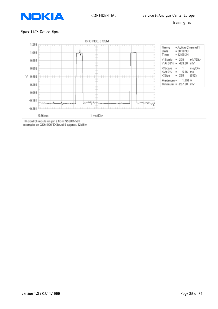

#### Figure 11:TX-Control Signal



TX-control impuls on pin 2 from N500/N501<br>example on GSM 900 TX-level 6 approx. 32dBm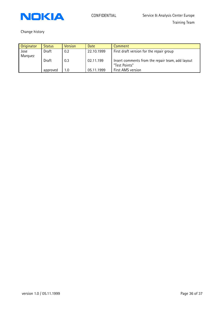

Change history

| Originator | <b>Status</b> | <b>Version</b> | <b>Date</b> | Comment                                          |
|------------|---------------|----------------|-------------|--------------------------------------------------|
| Jose       | Draft         | 0.2            | 22.10.1999  | First draft version for the repair group         |
| Marquez    |               |                |             |                                                  |
|            | Draft         | 0.3            | 02.11.199   | Insert comments from the repair team, add layout |
|            |               |                |             | "Test Points"                                    |
|            | approved      | 1.0            | 05.11.1999  | First AMS version                                |